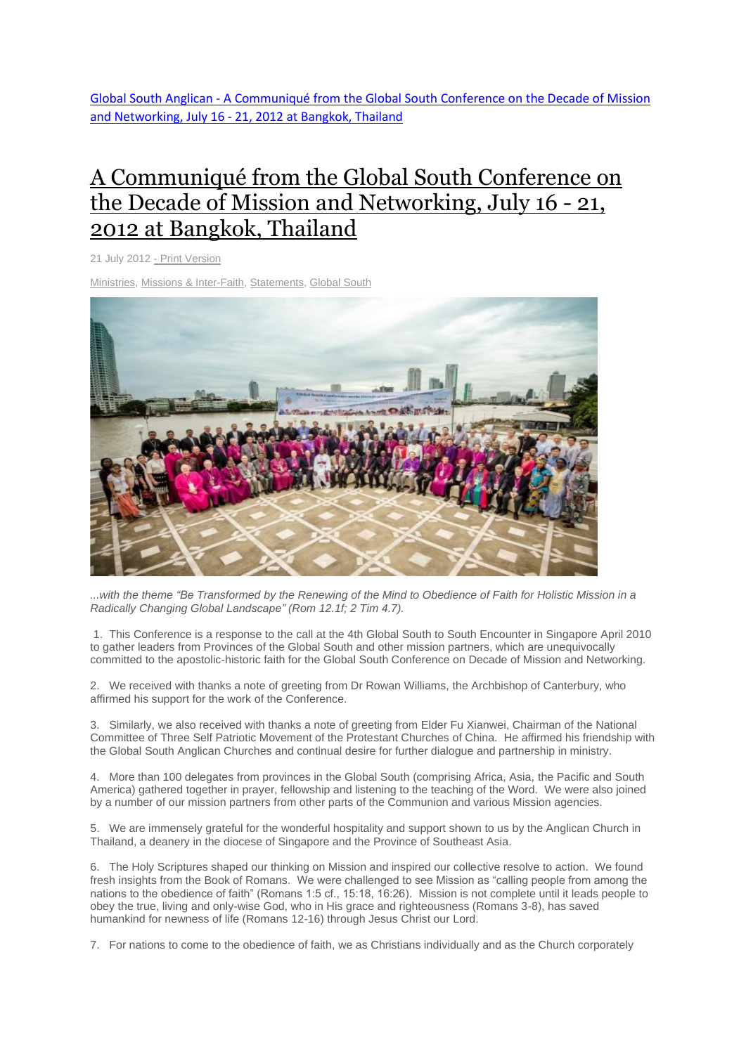Global South Anglican - [A Communiqué from the Global South Conference on the Decade of Mission](http://www.globalsouthanglican.org/blog/comments/a_communique_from_the_global_south_conference_on_the_decade_of_mission_and_)  and Networking, July 16 - [21, 2012 at Bangkok, Thailand](http://www.globalsouthanglican.org/blog/comments/a_communique_from_the_global_south_conference_on_the_decade_of_mission_and_)

## A [Communiqué](http://www.globalsouthanglican.org/index.php/blog/comments/a_communique_from_the_global_south_conference_on_the_decade_of_mission_and_) from the Global South Conference on the Decade of Mission and [Networking,](http://www.globalsouthanglican.org/index.php/blog/comments/a_communique_from_the_global_south_conference_on_the_decade_of_mission_and_) July 16 - 21, 2012 at [Bangkok,](http://www.globalsouthanglican.org/index.php/blog/comments/a_communique_from_the_global_south_conference_on_the_decade_of_mission_and_) Thailand

21 July 2012 - Print [Version](http://globalsouthanglican.org/index.php/blog/printing/a_communique_from_the_global_south_conference_on_the_decade_of_mission_and_)

[Ministries,](http://globalsouthanglican.org/index.php/archives/category/ministries) Missions & [Inter-Faith,](http://globalsouthanglican.org/index.php/archives/category/Missions_Inter-Faith) [Statements,](http://globalsouthanglican.org/index.php/archives/category/statements) [Global](http://globalsouthanglican.org/index.php/archives/category/global_south) South



... with the theme "Be Transformed by the Renewing of the Mind to Obedience of Faith for Holistic Mission in a *Radically Changing Global Landscape" (Rom 12.1f; 2 Tim 4.7).*

1. This Conference is a response to the call at the 4th Global South to South Encounter in Singapore April 2010 to gather leaders from Provinces of the Global South and other mission partners, which are unequivocally committed to the apostolic-historic faith for the Global South Conference on Decade of Mission and Networking.

2. We received with thanks a note of greeting from Dr Rowan Williams, the Archbishop of Canterbury, who affirmed his support for the work of the Conference.

3. Similarly, we also received with thanks a note of greeting from Elder Fu Xianwei, Chairman of the National Committee of Three Self Patriotic Movement of the Protestant Churches of China. He affirmed his friendship with the Global South Anglican Churches and continual desire for further dialogue and partnership in ministry.

4. More than 100 delegates from provinces in the Global South (comprising Africa, Asia, the Pacific and South America) gathered together in prayer, fellowship and listening to the teaching of the Word. We were also joined by a number of our mission partners from other parts of the Communion and various Mission agencies.

5. We are immensely grateful for the wonderful hospitality and support shown to us by the Anglican Church in Thailand, a deanery in the diocese of Singapore and the Province of Southeast Asia.

6. The Holy Scriptures shaped our thinking on Mission and inspired our collective resolve to action. We found fresh insights from the Book of Romans. We were challenged to see Mission as "calling people from among the nations to the obedience of faith" (Romans 1:5 cf., 15:18, 16:26). Mission is not complete until it leads people to obey the true, living and only-wise God, who in His grace and righteousness (Romans 3-8), has saved humankind for newness of life (Romans 12-16) through Jesus Christ our Lord.

7. For nations to come to the obedience of faith, we as Christians individually and as the Church corporately